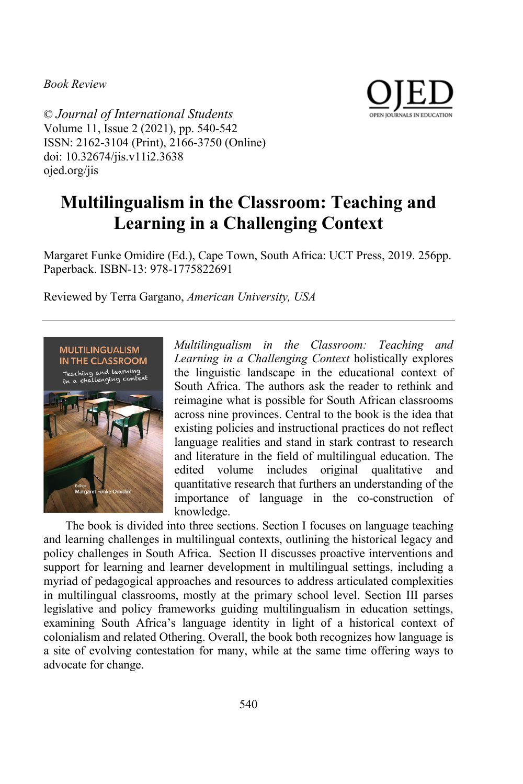*Book Review*



© *Journal of International Students* Volume 11, Issue 2 (2021), pp. 540-542 ISSN: 2162-3104 (Print), 2166-3750 (Online) doi: 10.32674/jis.v11i2.3638 ojed.org/jis

## **Multilingualism in the Classroom: Teaching and Learning in a Challenging Context**

Margaret Funke Omidire (Ed.), Cape Town, South Africa: UCT Press, 2019. 256pp. Paperback. ISBN-13: 978-1775822691

Reviewed by Terra Gargano, *American University, USA*



*Multilingualism in the Classroom: Teaching and Learning in a Challenging Context* holistically explores the linguistic landscape in the educational context of South Africa. The authors ask the reader to rethink and reimagine what is possible for South African classrooms across nine provinces. Central to the book is the idea that existing policies and instructional practices do not reflect language realities and stand in stark contrast to research and literature in the field of multilingual education. The edited volume includes original qualitative and quantitative research that furthers an understanding of the importance of language in the co-construction of knowledge.

The book is divided into three sections. Section I focuses on language teaching and learning challenges in multilingual contexts, outlining the historical legacy and policy challenges in South Africa. Section II discusses proactive interventions and support for learning and learner development in multilingual settings, including a myriad of pedagogical approaches and resources to address articulated complexities in multilingual classrooms, mostly at the primary school level. Section III parses legislative and policy frameworks guiding multilingualism in education settings, examining South Africa's language identity in light of a historical context of colonialism and related Othering. Overall, the book both recognizes how language is a site of evolving contestation for many, while at the same time offering ways to advocate for change.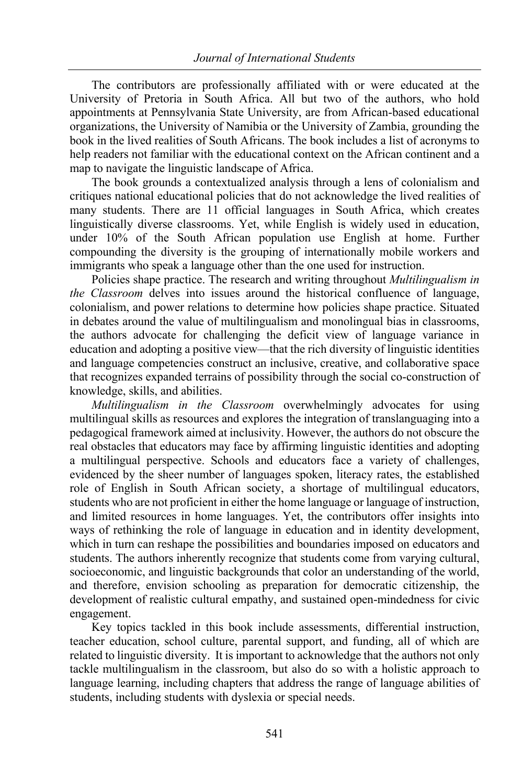The contributors are professionally affiliated with or were educated at the University of Pretoria in South Africa. All but two of the authors, who hold appointments at Pennsylvania State University, are from African-based educational organizations, the University of Namibia or the University of Zambia, grounding the book in the lived realities of South Africans. The book includes a list of acronyms to help readers not familiar with the educational context on the African continent and a map to navigate the linguistic landscape of Africa.

The book grounds a contextualized analysis through a lens of colonialism and critiques national educational policies that do not acknowledge the lived realities of many students. There are 11 official languages in South Africa, which creates linguistically diverse classrooms. Yet, while English is widely used in education, under 10% of the South African population use English at home. Further compounding the diversity is the grouping of internationally mobile workers and immigrants who speak a language other than the one used for instruction.

Policies shape practice. The research and writing throughout *Multilingualism in the Classroom* delves into issues around the historical confluence of language, colonialism, and power relations to determine how policies shape practice. Situated in debates around the value of multilingualism and monolingual bias in classrooms, the authors advocate for challenging the deficit view of language variance in education and adopting a positive view—that the rich diversity of linguistic identities and language competencies construct an inclusive, creative, and collaborative space that recognizes expanded terrains of possibility through the social co-construction of knowledge, skills, and abilities.

*Multilingualism in the Classroom* overwhelmingly advocates for using multilingual skills as resources and explores the integration of translanguaging into a pedagogical framework aimed at inclusivity. However, the authors do not obscure the real obstacles that educators may face by affirming linguistic identities and adopting a multilingual perspective. Schools and educators face a variety of challenges, evidenced by the sheer number of languages spoken, literacy rates, the established role of English in South African society, a shortage of multilingual educators, students who are not proficient in either the home language or language of instruction, and limited resources in home languages. Yet, the contributors offer insights into ways of rethinking the role of language in education and in identity development, which in turn can reshape the possibilities and boundaries imposed on educators and students. The authors inherently recognize that students come from varying cultural, socioeconomic, and linguistic backgrounds that color an understanding of the world, and therefore, envision schooling as preparation for democratic citizenship, the development of realistic cultural empathy, and sustained open-mindedness for civic engagement.

Key topics tackled in this book include assessments, differential instruction, teacher education, school culture, parental support, and funding, all of which are related to linguistic diversity. It is important to acknowledge that the authors not only tackle multilingualism in the classroom, but also do so with a holistic approach to language learning, including chapters that address the range of language abilities of students, including students with dyslexia or special needs.